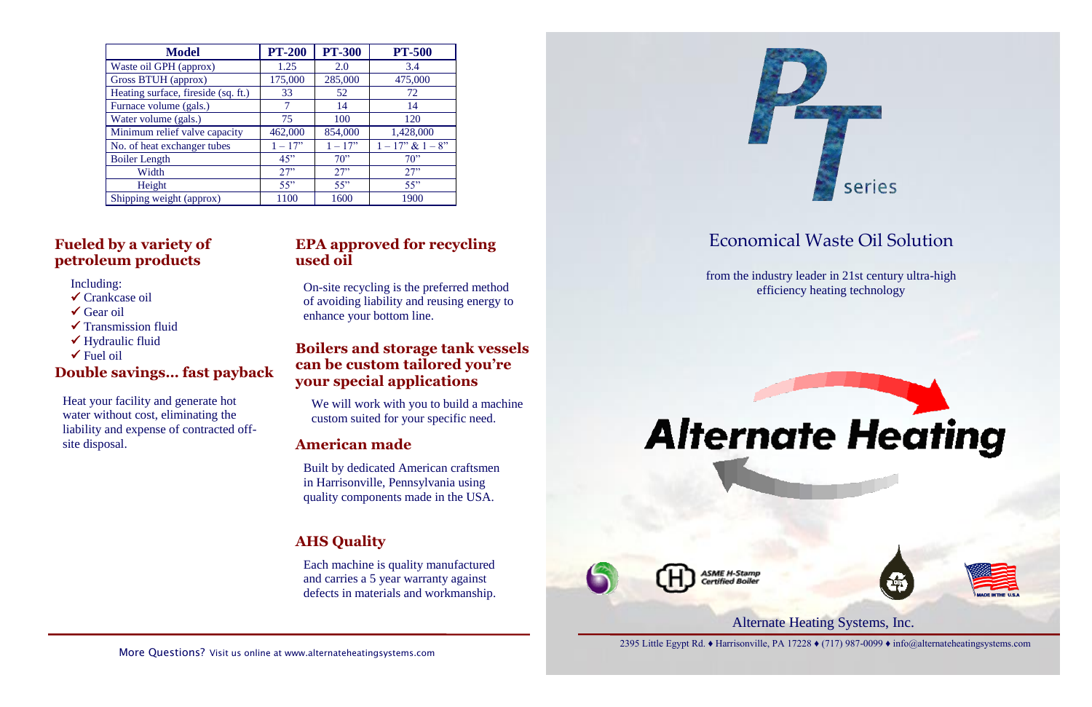Alternate Heating Systems, Inc. 2395 Little Egypt Rd. ♦ Harrisonville, PA 17228 ♦ (717) 987-0099 ♦ info@alternateheatingsystems.com

# Economical Waste Oil Solution

from the industry leader in 21st century ultra-high efficiency heating technology



**ASME H-Stamp** rtified Roile

| <b>Model</b>                        | <b>PT-200</b> | <b>PT-300</b> | <b>PT-500</b>          |
|-------------------------------------|---------------|---------------|------------------------|
| Waste oil GPH (approx)              | 1.25          | 2.0           | 3.4                    |
| Gross BTUH (approx)                 | 175,000       | 285,000       | 475,000                |
| Heating surface, fireside (sq. ft.) | 33            | 52            | 72                     |
| Furnace volume (gals.)              | 7             | 14            | 14                     |
| Water volume (gals.)                | 75            | 100           | 120                    |
| Minimum relief valve capacity       | 462,000       | 854,000       | 1,428,000              |
| No. of heat exchanger tubes         | $1 - 17$ "    | $1 - 17$ "    | $1 - 17$ " & $1 - 8$ " |
| <b>Boiler Length</b>                | 45"           | 70            | 70                     |
| Width                               | 27"           | 27"           | 27"                    |
| Height                              | 55"           | 55"           | 55"                    |
| Shipping weight (approx)            | 1100          | 1600          | 1900                   |

# ↓ Hydraunc Huld<br>
<del>V</del> Fuel oil **Boilers and storage tank vessels can be custom tailored you're your special applications**







# **EPA approved for recycling used oil**

On-site recycling is the preferred method of avoiding liability and reusing energy to enhance your bottom line.

# **Fueled by a variety of petroleum products**

Including:

- Crankcase oil
- $\checkmark$  Gear oil
- $\checkmark$  Transmission fluid
- Hydraulic fluid
- 

We will work with you to build a machine custom suited for your specific need.

## **Double savings… fast payback**

Heat your facility and generate hot water without cost, eliminating the liability and expense of contracted offsite disposal. **American made**

> Built by dedicated American craftsmen in Harrisonville, Pennsylvania using quality components made in the USA.

# **AHS Quality**

Each machine is quality manufactured and carries a 5 year warranty against defects in materials and workmanship.